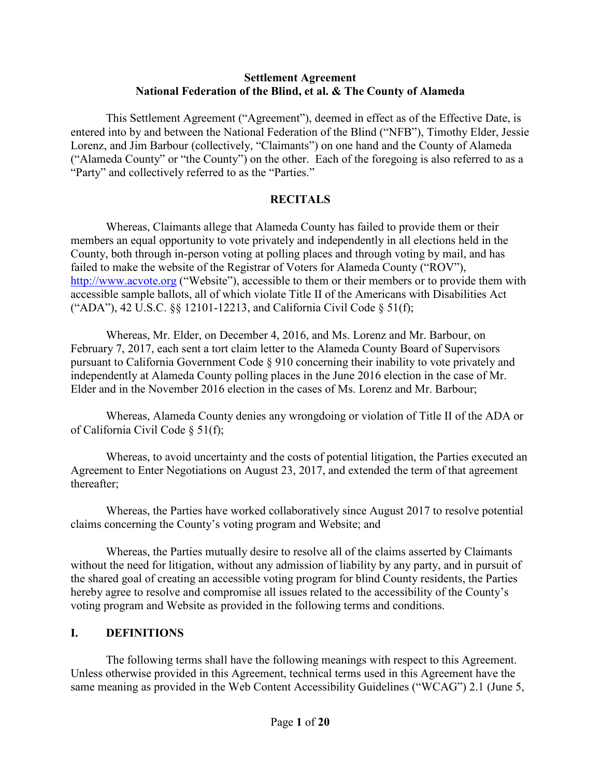#### **Settlement Agreement National Federation of the Blind, et al. & The County of Alameda**

This Settlement Agreement ("Agreement"), deemed in effect as of the Effective Date, is entered into by and between the National Federation of the Blind ("NFB"), Timothy Elder, Jessie Lorenz, and Jim Barbour (collectively, "Claimants") on one hand and the County of Alameda ("Alameda County" or "the County") on the other. Each of the foregoing is also referred to as a "Party" and collectively referred to as the "Parties."

### **RECITALS**

Whereas, Claimants allege that Alameda County has failed to provide them or their members an equal opportunity to vote privately and independently in all elections held in the County, both through in-person voting at polling places and through voting by mail, and has failed to make the website of the Registrar of Voters for Alameda County ("ROV"), [http://www.acvote.org](http://www.acvote.org/) ("Website"), accessible to them or their members or to provide them with accessible sample ballots, all of which violate Title II of the Americans with Disabilities Act ("ADA"), 42 U.S.C. §§ 12101-12213, and California Civil Code § 51(f);

Whereas, Mr. Elder, on December 4, 2016, and Ms. Lorenz and Mr. Barbour, on February 7, 2017, each sent a tort claim letter to the Alameda County Board of Supervisors pursuant to California Government Code § 910 concerning their inability to vote privately and independently at Alameda County polling places in the June 2016 election in the case of Mr. Elder and in the November 2016 election in the cases of Ms. Lorenz and Mr. Barbour;

Whereas, Alameda County denies any wrongdoing or violation of Title II of the ADA or of California Civil Code § 51(f);

Whereas, to avoid uncertainty and the costs of potential litigation, the Parties executed an Agreement to Enter Negotiations on August 23, 2017, and extended the term of that agreement thereafter;

Whereas, the Parties have worked collaboratively since August 2017 to resolve potential claims concerning the County's voting program and Website; and

Whereas, the Parties mutually desire to resolve all of the claims asserted by Claimants without the need for litigation, without any admission of liability by any party, and in pursuit of the shared goal of creating an accessible voting program for blind County residents, the Parties hereby agree to resolve and compromise all issues related to the accessibility of the County's voting program and Website as provided in the following terms and conditions.

### **I. DEFINITIONS**

The following terms shall have the following meanings with respect to this Agreement. Unless otherwise provided in this Agreement, technical terms used in this Agreement have the same meaning as provided in the Web Content Accessibility Guidelines ("WCAG") 2.1 (June 5,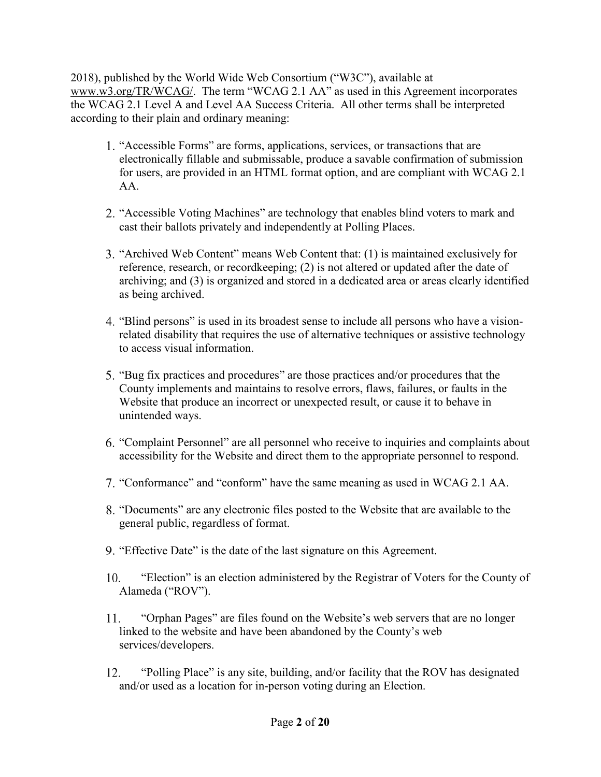2018), published by the World Wide Web Consortium ("W3C"), available at <www.w3.org/TR/WCAG>/. The term "WCAG 2.1 AA" as used in this Agreement incorporates the WCAG 2.1 Level A and Level AA Success Criteria. All other terms shall be interpreted according to their plain and ordinary meaning:

- 1. "Accessible Forms" are forms, applications, services, or transactions that are electronically fillable and submissable, produce a savable confirmation of submission for users, are provided in an HTML format option, and are compliant with WCAG 2.1 AA.
- 2. "Accessible Voting Machines" are technology that enables blind voters to mark and cast their ballots privately and independently at Polling Places.
- 3. "Archived Web Content" means Web Content that: (1) is maintained exclusively for reference, research, or recordkeeping; (2) is not altered or updated after the date of archiving; and (3) is organized and stored in a dedicated area or areas clearly identified as being archived.
- 4. "Blind persons" is used in its broadest sense to include all persons who have a visionrelated disability that requires the use of alternative techniques or assistive technology to access visual information.
- 5. "Bug fix practices and procedures" are those practices and/or procedures that the County implements and maintains to resolve errors, flaws, failures, or faults in the Website that produce an incorrect or unexpected result, or cause it to behave in unintended ways.
- 6. "Complaint Personnel" are all personnel who receive to inquiries and complaints about accessibility for the Website and direct them to the appropriate personnel to respond.
- 7. "Conformance" and "conform" have the same meaning as used in WCAG 2.1 AA.
- 8. "Documents" are any electronic files posted to the Website that are available to the general public, regardless of format.
- 9. "Effective Date" is the date of the last signature on this Agreement.
- 10. "Election" is an election administered by the Registrar of Voters for the County of Alameda ("ROV").
- 11. "Orphan Pages" are files found on the Website's web servers that are no longer linked to the website and have been abandoned by the County's web services/developers.
- 12. "Polling Place" is any site, building, and/or facility that the ROV has designated and/or used as a location for in-person voting during an Election.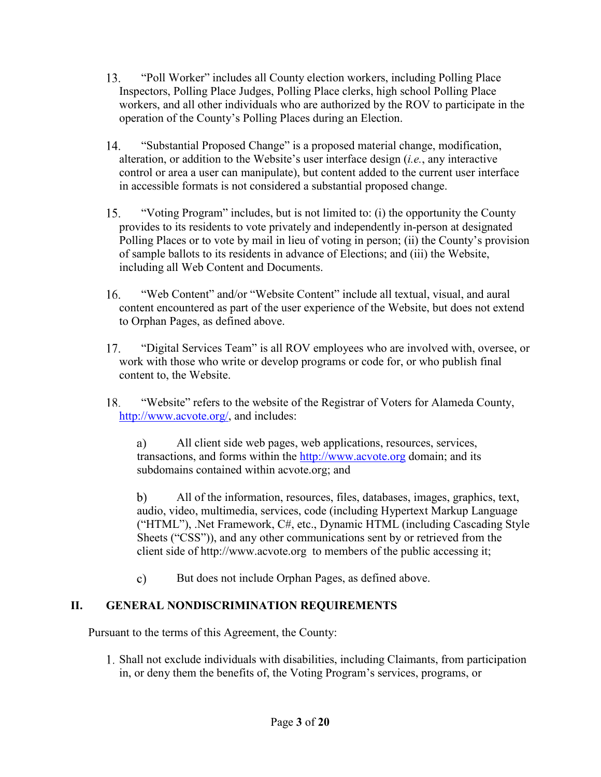- 13. "Poll Worker" includes all County election workers, including Polling Place Inspectors, Polling Place Judges, Polling Place clerks, high school Polling Place workers, and all other individuals who are authorized by the ROV to participate in the operation of the County's Polling Places during an Election.
- 14. "Substantial Proposed Change" is a proposed material change, modification, alteration, or addition to the Website's user interface design (*i.e.*, any interactive control or area a user can manipulate), but content added to the current user interface in accessible formats is not considered a substantial proposed change.
- 15. "Voting Program" includes, but is not limited to: (i) the opportunity the County provides to its residents to vote privately and independently in-person at designated Polling Places or to vote by mail in lieu of voting in person; (ii) the County's provision of sample ballots to its residents in advance of Elections; and (iii) the Website, including all Web Content and Documents.
- 16. "Web Content" and/or "Website Content" include all textual, visual, and aural content encountered as part of the user experience of the Website, but does not extend to Orphan Pages, as defined above.
- 17. "Digital Services Team" is all ROV employees who are involved with, oversee, or work with those who write or develop programs or code for, or who publish final content to, the Website.
- 18. "Website" refers to the website of the Registrar of Voters for Alameda County, [h](http://www.acvote.org/)[ttp://www.acvote.org](http://www.acvote.org)[/,](http://www.acvote.org/) and includes:

a) All client side web pages, web applications, resources, services, transactions, and forms within the [http://www.acvote.org](http://www.acvote.org/) domain; and its subdomains contained within [acvote.org;](https://acvote.org) and

b) All of the information, resources, files, databases, images, graphics, text, audio, video, multimedia, services, code (including Hypertext Markup Language ("HTML"), .Net Framework, C#, etc., Dynamic HTML (including Cascading Style Sheets ("CSS")), and any other communications sent by or retrieved from the client side of<http://www.acvote.org> to members of the public accessing it;

c) But does not include Orphan Pages, as defined above.

# **II. GENERAL NONDISCRIMINATION REQUIREMENTS**

Pursuant to the terms of this Agreement, the County:

1. Shall not exclude individuals with disabilities, including Claimants, from participation in, or deny them the benefits of, the Voting Program's services, programs, or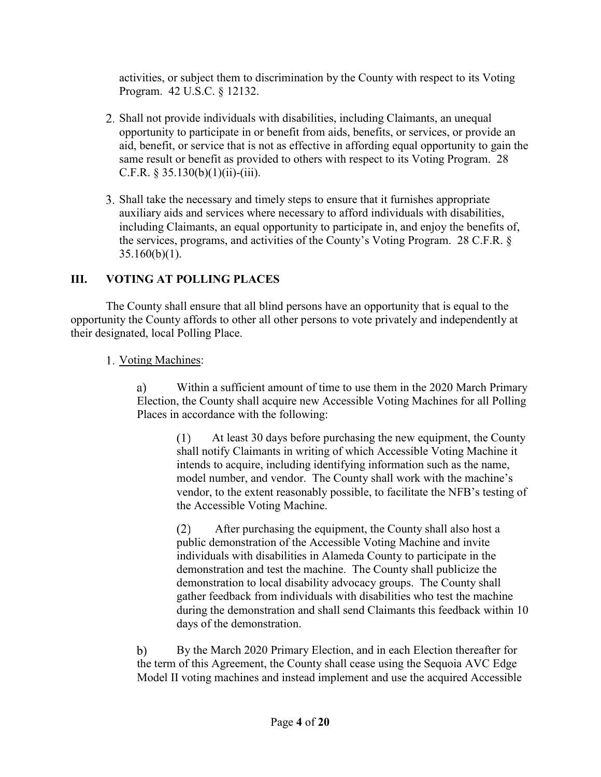activities, or subject them to discrimination by the County with respect to its Voting Program. 42 U.S.C. § 12132.

- 2. Shall not provide individuals with disabilities, including Claimants, an unequal opportunity to participate in or benefit from aids, benefits, or services, or provide an aid, benefit, or service that is not as effective in affording equal opportunity to gain the same result or benefit as provided to others with respect to its Voting Program. 28 C.F.R.  $§$  35.130(b)(1)(ii)-(iii).
- 3. Shall take the necessary and timely steps to ensure that it furnishes appropriate auxiliary aids and services where necessary to afford individuals with disabilities, including Claimants, an equal opportunity to participate in, and enjoy the benefits of, the services, programs, and activities of the County's Voting Program. 28 C.F.R. §  $35.160(b)(1)$ .

# **III. VOTING AT POLLING PLACES**

their designated, local Polling Place.<br>1. <u>Voting Machines</u>: The County shall ensure that all blind persons have an opportunity that is equal to the opportunity the County affords to other all other persons to vote privately and independently at

1. Voting Machines:

a) Within a sufficient amount of time to use them in the 2020 March Primary Election, the County shall acquire new Accessible Voting Machines for all Polling Places in accordance with the following:

> (1) At least 30 days before purchasing the new equipment, the County shall notify Claimants in writing of which Accessible Voting Machine it intends to acquire, including identifying information such as the name, model number, and vendor. The County shall work with the machine's vendor, to the extent reasonably possible, to facilitate the NFB's testing of the Accessible Voting Machine.

> (2) After purchasing the equipment, the County shall also host a public demonstration of the Accessible Voting Machine and invite individuals with disabilities in Alameda County to participate in the demonstration and test the machine. The County shall publicize the demonstration to local disability advocacy groups. The County shall gather feedback from individuals with disabilities who test the machine during the demonstration and shall send Claimants this feedback within 10 days of the demonstration.

b) By the March 2020 Primary Election, and in each Election thereafter for the term of this Agreement, the County shall cease using the Sequoia AVC Edge Model II voting machines and instead implement and use the acquired Accessible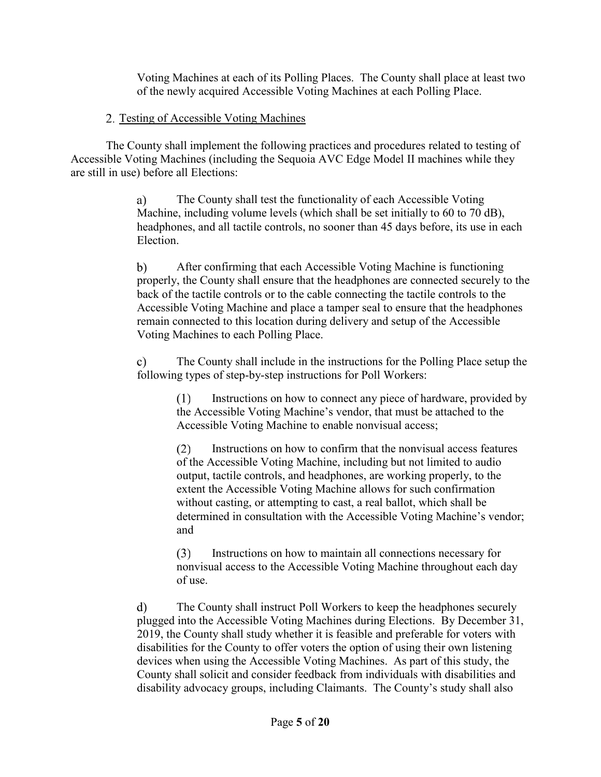Voting Machines at each of its Polling Places. The County shall place at least two of the newly acquired Accessible Voting Machines at each Polling Place.

# 2. Testing of Accessible Voting Machines of the newly acquired Accessible V<br>Testing of Accessible Voting Machines

The County shall implement the following practices and procedures related to testing of Accessible Voting Machines (including the Sequoia AVC Edge Model II machines while they are still in use) before all Elections:

> **a)** The County shall test the functionality of each Accessible Voting Machine, including volume levels (which shall be set initially to 60 to 70 dB), headphones, and all tactile controls, no sooner than 45 days before, its use in each Election.

**b)** After confirming that each Accessible Voting Machine is functioning properly, the County shall ensure that the headphones are connected securely to the back of the tactile controls or to the cable connecting the tactile controls to the Accessible Voting Machine and place a tamper seal to ensure that the headphones remain connected to this location during delivery and setup of the Accessible Voting Machines to each Polling Place.

**c)** The County shall include in the instructions for the Polling Place setup the following types of step-by-step instructions for Poll Workers:

> (1) Instructions on how to connect any piece of hardware, provided by the Accessible Voting Machine's vendor, that must be attached to the Accessible Voting Machine to enable nonvisual access;

> (2) Instructions on how to confirm that the nonvisual access features of the Accessible Voting Machine, including but not limited to audio output, tactile controls, and headphones, are working properly, to the extent the Accessible Voting Machine allows for such confirmation without casting, or attempting to cast, a real ballot, which shall be determined in consultation with the Accessible Voting Machine's vendor; and

(3) Instructions on how to maintain all connections necessary for nonvisual access to the Accessible Voting Machine throughout each day of use.

**d)** The County shall instruct Poll Workers to keep the headphones securely plugged into the Accessible Voting Machines during Elections. By December 31, 2019, the County shall study whether it is feasible and preferable for voters with disabilities for the County to offer voters the option of using their own listening devices when using the Accessible Voting Machines. As part of this study, the County shall solicit and consider feedback from individuals with disabilities and disability advocacy groups, including Claimants. The County's study shall also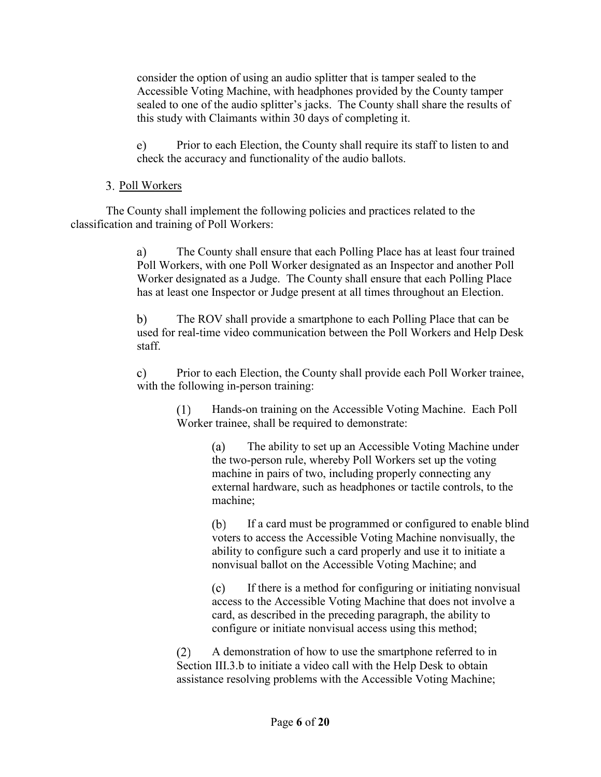consider the option of using an audio splitter that is tamper sealed to the Accessible Voting Machine, with headphones provided by the County tamper sealed to one of the audio splitter's jacks. The County shall share the results of this study with Claimants within 30 days of completing it.

**e)** Prior to each Election, the County shall require its staff to listen to and check the accuracy and functionality of the audio ballots.

## 3. Poll Workers

The County shall implement the following policies and practices related to the classification and training of Poll Workers:

> **a)** The County shall ensure that each Polling Place has at least four trained Poll Workers, with one Poll Worker designated as an Inspector and another Poll Worker designated as a Judge. The County shall ensure that each Polling Place has at least one Inspector or Judge present at all times throughout an Election.

**b)** The ROV shall provide a smartphone to each Polling Place that can be used for real-time video communication between the Poll Workers and Help Desk staff.

**c)** Prior to each Election, the County shall provide each Poll Worker trainee, with the following in-person training:

> (1) Hands-on training on the Accessible Voting Machine. Each Poll Worker trainee, shall be required to demonstrate:

> > **(a)** The ability to set up an Accessible Voting Machine under the two-person rule, whereby Poll Workers set up the voting machine in pairs of two, including properly connecting any external hardware, such as headphones or tactile controls, to the machine;

**(b)** If a card must be programmed or configured to enable blind voters to access the Accessible Voting Machine nonvisually, the ability to configure such a card properly and use it to initiate a nonvisual ballot on the Accessible Voting Machine; and

**(c)** If there is a method for configuring or initiating nonvisual access to the Accessible Voting Machine that does not involve a card, as described in the preceding paragraph, the ability to configure or initiate nonvisual access using this method;

(2) A demonstration of how to use the smartphone referred to in Section III.3.b to initiate a video call with the Help Desk to obtain assistance resolving problems with the Accessible Voting Machine;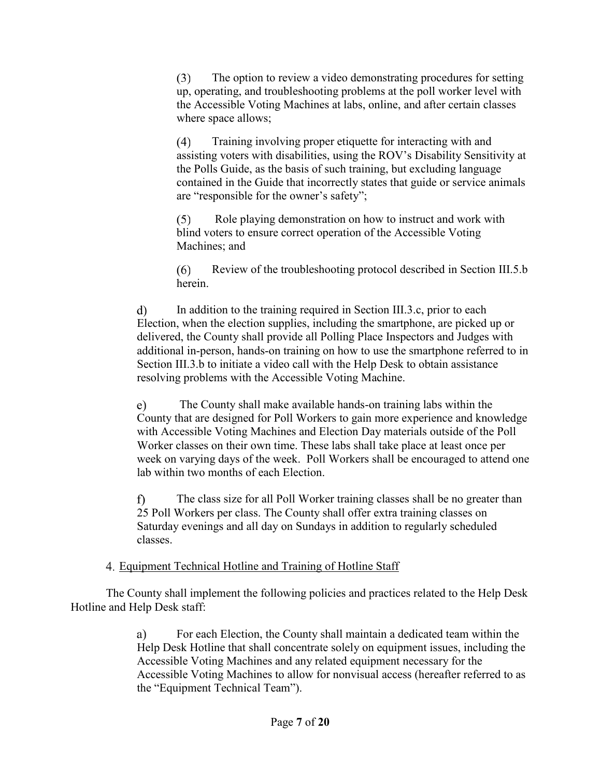(3) The option to review a video demonstrating procedures for setting up, operating, and troubleshooting problems at the poll worker level with the Accessible Voting Machines at labs, online, and after certain classes where space allows;

(4) Training involving proper etiquette for interacting with and assisting voters with disabilities, using the ROV's Disability Sensitivity at the Polls Guide, as the basis of such training, but excluding language contained in the Guide that incorrectly states that guide or service animals are "responsible for the owner's safety";

(5) Role playing demonstration on how to instruct and work with blind voters to ensure correct operation of the Accessible Voting Machines; and

(6) Review of the troubleshooting protocol described in Section III.5.b herein.

**d)** In addition to the training required in Section III.3.c, prior to each Election, when the election supplies, including the smartphone, are picked up or delivered, the County shall provide all Polling Place Inspectors and Judges with additional in-person, hands-on training on how to use the smartphone referred to in Section III.3.b to initiate a video call with the Help Desk to obtain assistance resolving problems with the Accessible Voting Machine.

**e)** The County shall make available hands-on training labs within the County that are designed for Poll Workers to gain more experience and knowledge with Accessible Voting Machines and Election Day materials outside of the Poll Worker classes on their own time. These labs shall take place at least once per week on varying days of the week. Poll Workers shall be encouraged to attend one lab within two months of each Election.

f) The class size for all Poll Worker training classes shall be no greater than 25 Poll Workers per class. The County shall offer extra training classes on Saturday evenings and all day on Sundays in addition to regularly scheduled classes.

## 4. Equipment Technical Hotline and Training of Hotline Staff

The County shall implement the following policies and practices related to the Help Desk Hotline and Help Desk staff:

> **a)** For each Election, the County shall maintain a dedicated team within the Help Desk Hotline that shall concentrate solely on equipment issues, including the Accessible Voting Machines and any related equipment necessary for the Accessible Voting Machines to allow for nonvisual access (hereafter referred to as the "Equipment Technical Team").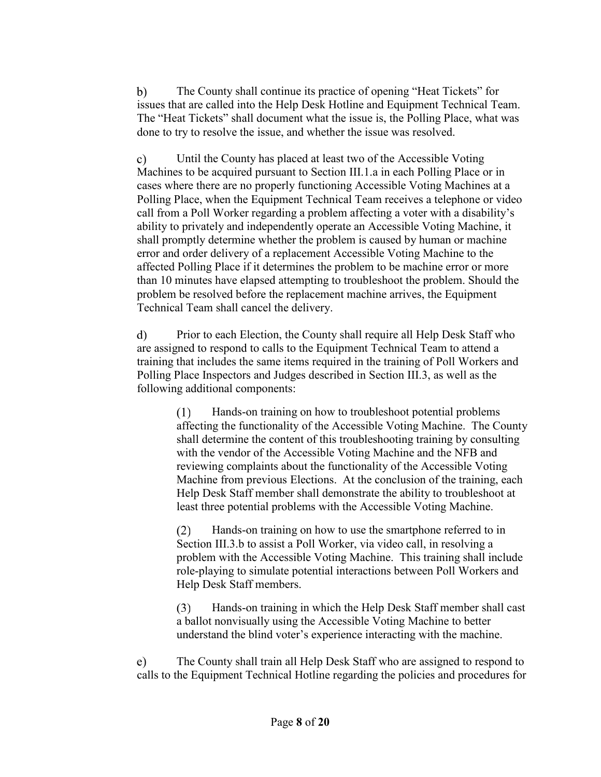**b)** The County shall continue its practice of opening "Heat Tickets" for issues that are called into the Help Desk Hotline and Equipment Technical Team. The "Heat Tickets" shall document what the issue is, the Polling Place, what was done to try to resolve the issue, and whether the issue was resolved.

**c)** Until the County has placed at least two of the Accessible Voting Machines to be acquired pursuant to Section III.1.a in each Polling Place or in cases where there are no properly functioning Accessible Voting Machines at a Polling Place, when the Equipment Technical Team receives a telephone or video call from a Poll Worker regarding a problem affecting a voter with a disability's ability to privately and independently operate an Accessible Voting Machine, it shall promptly determine whether the problem is caused by human or machine error and order delivery of a replacement Accessible Voting Machine to the affected Polling Place if it determines the problem to be machine error or more than 10 minutes have elapsed attempting to troubleshoot the problem. Should the problem be resolved before the replacement machine arrives, the Equipment Technical Team shall cancel the delivery.

**d)** Prior to each Election, the County shall require all Help Desk Staff who are assigned to respond to calls to the Equipment Technical Team to attend a training that includes the same items required in the training of Poll Workers and Polling Place Inspectors and Judges described in Section III.3, as well as the following additional components:

> (1) Hands-on training on how to troubleshoot potential problems affecting the functionality of the Accessible Voting Machine. The County shall determine the content of this troubleshooting training by consulting with the vendor of the Accessible Voting Machine and the NFB and reviewing complaints about the functionality of the Accessible Voting Machine from previous Elections. At the conclusion of the training, each Help Desk Staff member shall demonstrate the ability to troubleshoot at least three potential problems with the Accessible Voting Machine.

(2) Hands-on training on how to use the smartphone referred to in Section III.3.b to assist a Poll Worker, via video call, in resolving a problem with the Accessible Voting Machine. This training shall include role-playing to simulate potential interactions between Poll Workers and Help Desk Staff members.

(3) Hands-on training in which the Help Desk Staff member shall cast a ballot nonvisually using the Accessible Voting Machine to better understand the blind voter's experience interacting with the machine.

e) The County shall train all Help Desk Staff who are assigned to respond to calls to the Equipment Technical Hotline regarding the policies and procedures for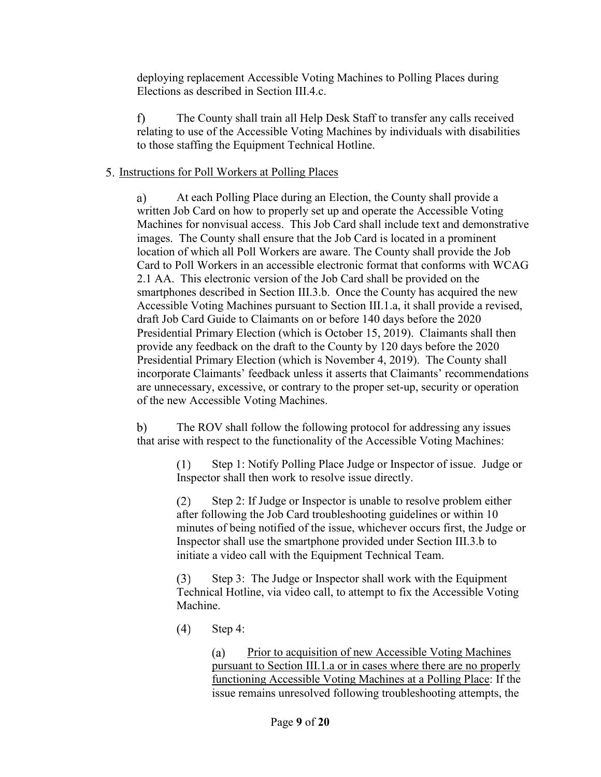deploying replacement Accessible Voting Machines to Polling Places during Elections as described in Section III.4.c.

f) The County shall train all Help Desk Staff to transfer any calls received relating to use of the Accessible Voting Machines by individuals with disabilities to those staffing the Equipment Technical Hotline.

# to those staffing the Equipment Technical 1<br>5. <u>Instructions for Poll Workers at Polling Places</u> Instructions for Poll Workers at Polling Places

**a)** At each Polling Place during an Election, the County shall provide a written Job Card on how to properly set up and operate the Accessible Voting Machines for nonvisual access. This Job Card shall include text and demonstrative images. The County shall ensure that the Job Card is located in a prominent location of which all Poll Workers are aware. The County shall provide the Job Card to Poll Workers in an accessible electronic format that conforms with WCAG 2.1 AA. This electronic version of the Job Card shall be provided on the smartphones described in Section III.3.b. Once the County has acquired the new Accessible Voting Machines pursuant to Section III.1.a, it shall provide a revised, draft Job Card Guide to Claimants on or before 140 days before the 2020 Presidential Primary Election (which is October 15, 2019). Claimants shall then provide any feedback on the draft to the County by 120 days before the 2020 Presidential Primary Election (which is November 4, 2019). The County shall incorporate Claimants' feedback unless it asserts that Claimants' recommendations are unnecessary, excessive, or contrary to the proper set-up, security or operation of the new Accessible Voting Machines.

**b)** The ROV shall follow the following protocol for addressing any issues that arise with respect to the functionality of the Accessible Voting Machines:

> (1) Step 1: Notify Polling Place Judge or Inspector of issue. Judge or Inspector shall then work to resolve issue directly.

(2) Step 2: If Judge or Inspector is unable to resolve problem either after following the Job Card troubleshooting guidelines or within 10 minutes of being notified of the issue, whichever occurs first, the Judge or Inspector shall use the smartphone provided under Section III.3.b to initiate a video call with the Equipment Technical Team.

(3) Step 3: The Judge or Inspector shall work with the Equipment Technical Hotline, via video call, to attempt to fix the Accessible Voting Machine.

(4) Step 4:

**(a)** Prior to acquisition of new Accessible Voting Machines pursuant to Section III.1.a or in cases where there are no properly functioning Accessible Voting Machines at a Polling Place: If the issue remains unresolved following troubleshooting attempts, the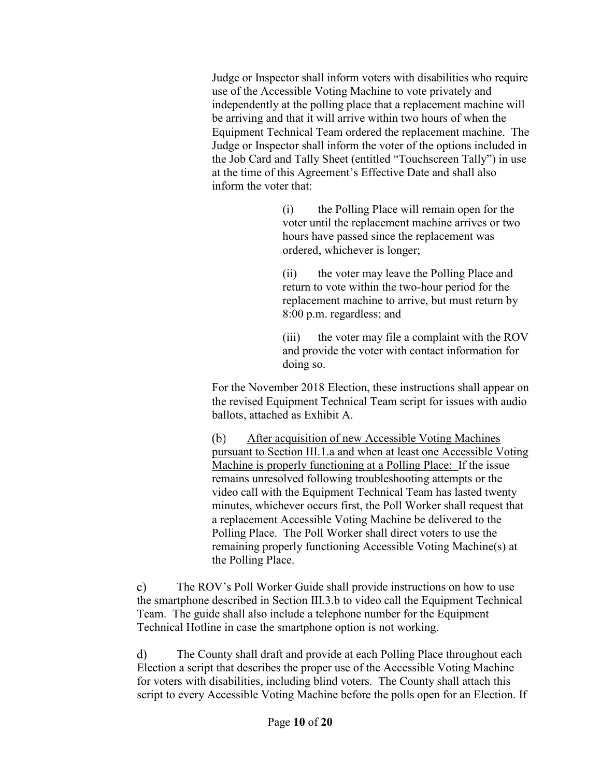Judge or Inspector shall inform voters with disabilities who require use of the Accessible Voting Machine to vote privately and independently at the polling place that a replacement machine will be arriving and that it will arrive within two hours of when the Equipment Technical Team ordered the replacement machine. The Judge or Inspector shall inform the voter of the options included in the Job Card and Tally Sheet (entitled "Touchscreen Tally") in use at the time of this Agreement's Effective Date and shall also inform the voter that:

> (i) the Polling Place will remain open for the voter until the replacement machine arrives or two hours have passed since the replacement was ordered, whichever is longer;

(ii) the voter may leave the Polling Place and return to vote within the two-hour period for the replacement machine to arrive, but must return by 8:00 p.m. regardless; and

(iii) the voter may file a complaint with the ROV and provide the voter with contact information for doing so.

For the November 2018 Election, these instructions shall appear on the revised Equipment Technical Team script for issues with audio ballots, attached as Exhibit A.

(b) After acquisition of new Accessible Voting Machines pursuant to Section III.1.a and when at least one Accessible Voting Machine is properly functioning at a Polling Place: If the issue remains unresolved following troubleshooting attempts or the video call with the Equipment Technical Team has lasted twenty minutes, whichever occurs first, the Poll Worker shall request that a replacement Accessible Voting Machine be delivered to the Polling Place. The Poll Worker shall direct voters to use the remaining properly functioning Accessible Voting Machine(s) at the Polling Place.

c) The ROV's Poll Worker Guide shall provide instructions on how to use the smartphone described in Section III.3.b to video call the Equipment Technical Team. The guide shall also include a telephone number for the Equipment Technical Hotline in case the smartphone option is not working.

d) The County shall draft and provide at each Polling Place throughout each Election a script that describes the proper use of the Accessible Voting Machine for voters with disabilities, including blind voters. The County shall attach this script to every Accessible Voting Machine before the polls open for an Election. If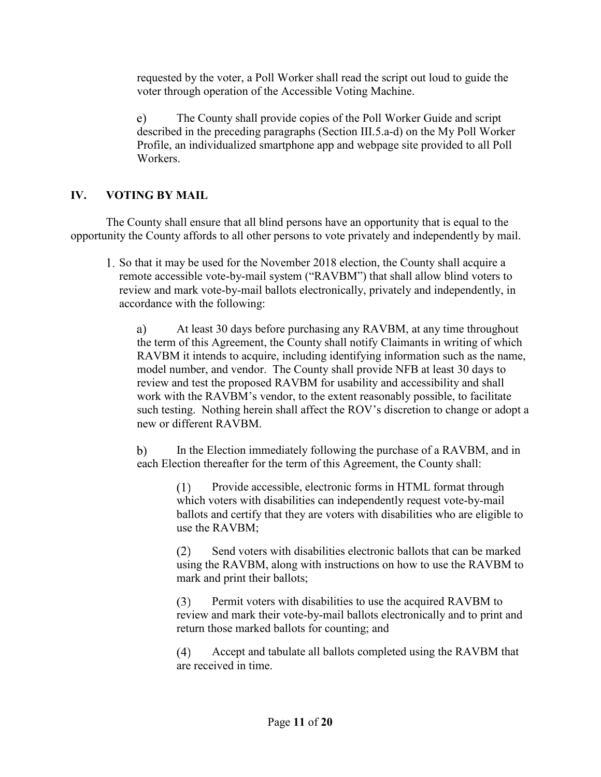requested by the voter, a Poll Worker shall read the script out loud to guide the voter through operation of the Accessible Voting Machine.

e) The County shall provide copies of the Poll Worker Guide and script described in the preceding paragraphs (Section III.5.a-d) on the My Poll Worker Profile, an individualized smartphone app and webpage site provided to all Poll Workers.

## **IV. VOTING BY MAIL**

The County shall ensure that all blind persons have an opportunity that is equal to the opportunity the County affords to all other persons to vote privately and independently by mail.

1. So that it may be used for the November 2018 election, the County shall acquire a remote accessible vote-by-mail system ("RAVBM") that shall allow blind voters to review and mark vote-by-mail ballots electronically, privately and independently, in accordance with the following:

a) At least 30 days before purchasing any RAVBM, at any time throughout the term of this Agreement, the County shall notify Claimants in writing of which RAVBM it intends to acquire, including identifying information such as the name, model number, and vendor. The County shall provide NFB at least 30 days to review and test the proposed RAVBM for usability and accessibility and shall work with the RAVBM's vendor, to the extent reasonably possible, to facilitate such testing. Nothing herein shall affect the ROV's discretion to change or adopt a new or different RAVBM.

b) In the Election immediately following the purchase of a RAVBM, and in each Election thereafter for the term of this Agreement, the County shall:

(1) Provide accessible, electronic forms in HTML format through which voters with disabilities can independently request vote-by-mail ballots and certify that they are voters with disabilities who are eligible to use the RAVBM;

(2) Send voters with disabilities electronic ballots that can be marked using the RAVBM, along with instructions on how to use the RAVBM to mark and print their ballots;

(3) Permit voters with disabilities to use the acquired RAVBM to review and mark their vote-by-mail ballots electronically and to print and return those marked ballots for counting; and

(4) Accept and tabulate all ballots completed using the RAVBM that are received in time.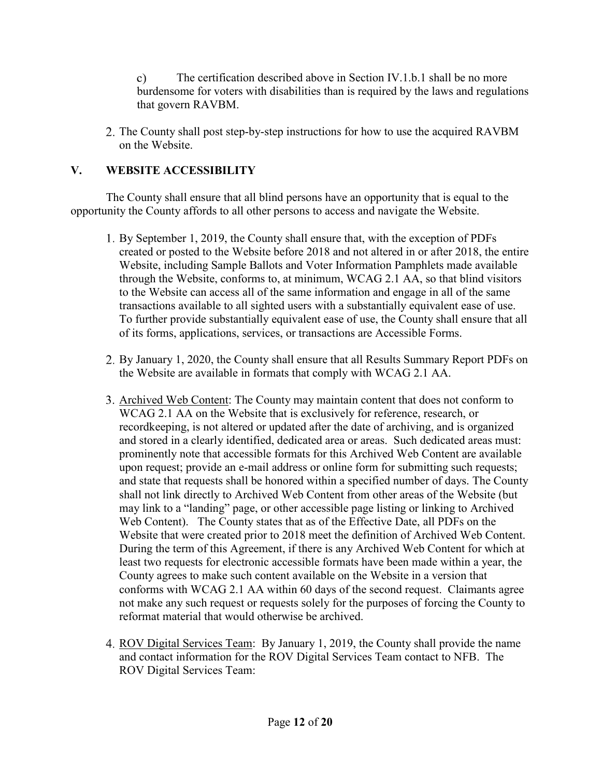c) The certification described above in Section IV.1.b.1 shall be no more burdensome for voters with disabilities than is required by the laws and regulations that govern RAVBM.

2. The County shall post step-by-step instructions for how to use the acquired RAVBM on the Website.

# **V. WEBSITE ACCESSIBILITY**

The County shall ensure that all blind persons have an opportunity that is equal to the opportunity the County affords to all other persons to access and navigate the Website.

- 1. By September 1, 2019, the County shall ensure that, with the exception of PDFs created or posted to the Website before 2018 and not altered in or after 2018, the entire Website, including Sample Ballots and Voter Information Pamphlets made available through the Website, conforms to, at minimum, WCAG 2.1 AA, so that blind visitors to the Website can access all of the same information and engage in all of the same transactions available to all sighted users with a substantially equivalent ease of use. To further provide substantially equivalent ease of use, the County shall ensure that all of its forms, applications, services, or transactions are Accessible Forms.
- 2. By January 1, 2020, the County shall ensure that all Results Summary Report PDFs on the Website are available in formats that comply with WCAG 2.1 AA.
- 3. Archived Web Content<br>WCAG 2.1 AA on the Archived Web Content: The County may maintain content that does not conform to WCAG 2.1 AA on the Website that is exclusively for reference, research, or recordkeeping, is not altered or updated after the date of archiving, and is organized and stored in a clearly identified, dedicated area or areas. Such dedicated areas must: prominently note that accessible formats for this Archived Web Content are available upon request; provide an e-mail address or online form for submitting such requests; and state that requests shall be honored within a specified number of days. The County shall not link directly to Archived Web Content from other areas of the Website (but may link to a "landing" page, or other accessible page listing or linking to Archived Web Content). The County states that as of the Effective Date, all PDFs on the Website that were created prior to 2018 meet the definition of Archived Web Content. During the term of this Agreement, if there is any Archived Web Content for which at least two requests for electronic accessible formats have been made within a year, the County agrees to make such content available on the Website in a version that conforms with WCAG 2.1 AA within 60 days of the second request. Claimants agree not make any such request or requests solely for the purposes of forcing the County to reformat material that would otherwise be archived.
- reformat material that would<br>4. ROV Digital Services Team<br>and contact information for t ROV Digital Services Team: By January 1, 2019, the County shall provide the name and contact information for the ROV Digital Services Team contact to NFB. The ROV Digital Services Team: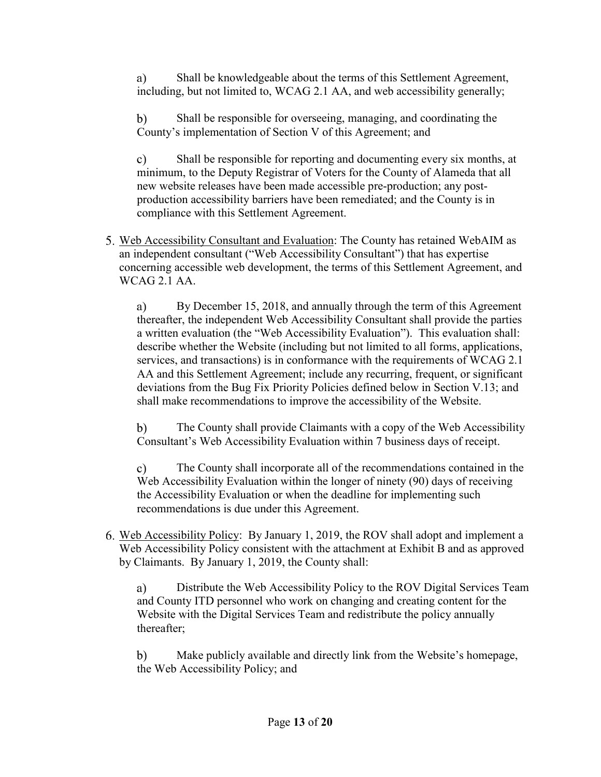a) Shall be knowledgeable about the terms of this Settlement Agreement, including, but not limited to, WCAG 2.1 AA, and web accessibility generally;

b) Shall be responsible for overseeing, managing, and coordinating the County's implementation of Section V of this Agreement; and

c) Shall be responsible for reporting and documenting every six months, at minimum, to the Deputy Registrar of Voters for the County of Alameda that all new website releases have been made accessible pre-production; any postproduction accessibility barriers have been remediated; and the County is in compliance with this Settlement Agreement.

5. Web Accessibility Consultant and Evaluation: The County has retained WebAl<br>an independent consultant ("Web Accessibility Consultant") that has expertise Web Accessibility Consultant and Evaluation: The County has retained WebAIM as concerning accessible web development, the terms of this Settlement Agreement, and WCAG 2.1 AA.

a) By December 15, 2018, and annually through the term of this Agreement thereafter, the independent Web Accessibility Consultant shall provide the parties a written evaluation (the "Web Accessibility Evaluation"). This evaluation shall: describe whether the Website (including but not limited to all forms, applications, services, and transactions) is in conformance with the requirements of WCAG 2.1 AA and this Settlement Agreement; include any recurring, frequent, or significant deviations from the Bug Fix Priority Policies defined below in Section V.13; and shall make recommendations to improve the accessibility of the Website.

b) The County shall provide Claimants with a copy of the Web Accessibility Consultant's Web Accessibility Evaluation within 7 business days of receipt.

c) The County shall incorporate all of the recommendations contained in the Web Accessibility Evaluation within the longer of ninety (90) days of receiving the Accessibility Evaluation or when the deadline for implementing such recommendations is due under this Agreement.

6. Web Accessibility Policy: By January 1, 2019, the ROV shall adopt and implement a Web Accessibility Policy consistent with the attachment at Exhibit B and as approved by Claimants. By January 1, 2019, the County shall:

a) Distribute the Web Accessibility Policy to the ROV Digital Services Team and County ITD personnel who work on changing and creating content for the Website with the Digital Services Team and redistribute the policy annually thereafter;

b) Make publicly available and directly link from the Website's homepage, the Web Accessibility Policy; and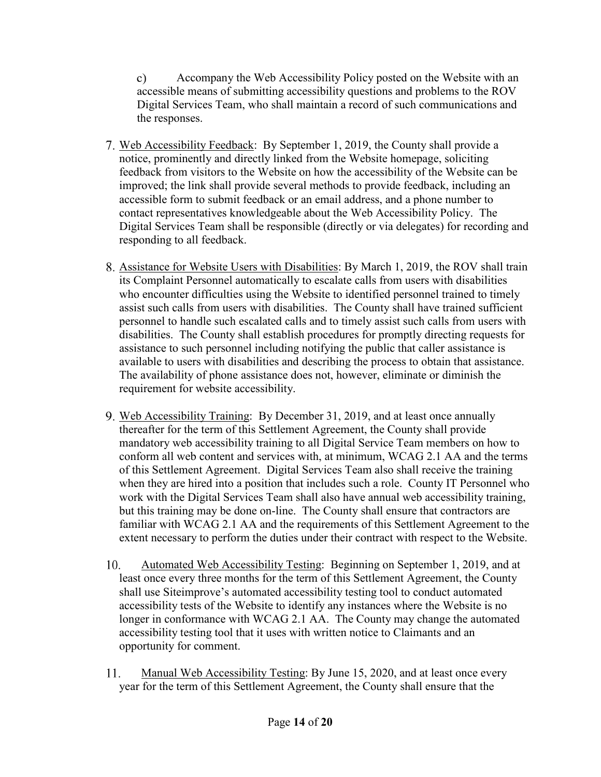c) Accompany the Web Accessibility Policy posted on the Website with an accessible means of submitting accessibility questions and problems to the ROV Digital Services Team, who shall maintain a record of such communications and the responses.

- the responses.<br>7. Web Accessibility Feedback<br>notice, prominently and direct Web Accessibility Feedback: By September 1, 2019, the County shall provide a notice, prominently and directly linked from the Website homepage, soliciting feedback from visitors to the Website on how the accessibility of the Website can be improved; the link shall provide several methods to provide feedback, including an accessible form to submit feedback or an email address, and a phone number to contact representatives knowledgeable about the Web Accessibility Policy. The Digital Services Team shall be responsible (directly or via delegates) for recording and responding to all feedback.
- responding to an recuback.<br>8. Assistance for Website Users with Disabilities<br>its Complaint Personnel automatically to escal Assistance for Website Users with Disabilities: By March 1, 2019, the ROV shall train its Complaint Personnel automatically to escalate calls from users with disabilities who encounter difficulties using the Website to identified personnel trained to timely assist such calls from users with disabilities. The County shall have trained sufficient personnel to handle such escalated calls and to timely assist such calls from users with disabilities. The County shall establish procedures for promptly directing requests for assistance to such personnel including notifying the public that caller assistance is available to users with disabilities and describing the process to obtain that assistance. The availability of phone assistance does not, however, eliminate or diminish the requirement for website accessibility.
- 9. Web Accessibility Training: By December 31, 2019, and at least once annually thereafter for the term of this Settlement Agreement, the County shall provide mandatory web accessibility training to all Digital Service Team members on how to conform all web content and services with, at minimum, WCAG 2.1 AA and the terms of this Settlement Agreement. Digital Services Team also shall receive the training when they are hired into a position that includes such a role. County IT Personnel who work with the Digital Services Team shall also have annual web accessibility training, but this training may be done on-line. The County shall ensure that contractors are familiar with WCAG 2.1 AA and the requirements of this Settlement Agreement to the extent necessary to perform the duties under their contract with respect to the Website.
- 10. Automated Web Accessibility Testing: Beginning on September 1, 2019, and at least once every three months for the term of this Settlement Agreement, the County shall use Siteimprove's automated accessibility testing tool to conduct automated accessibility tests of the Website to identify any instances where the Website is no longer in conformance with WCAG 2.1 AA. The County may change the automated accessibility testing tool that it uses with written notice to Claimants and an opportunity for comment.
- 11. Manual Web Accessibility Testing: By June 15, 2020, and at least once every year for the term of this Settlement Agreement, the County shall ensure that the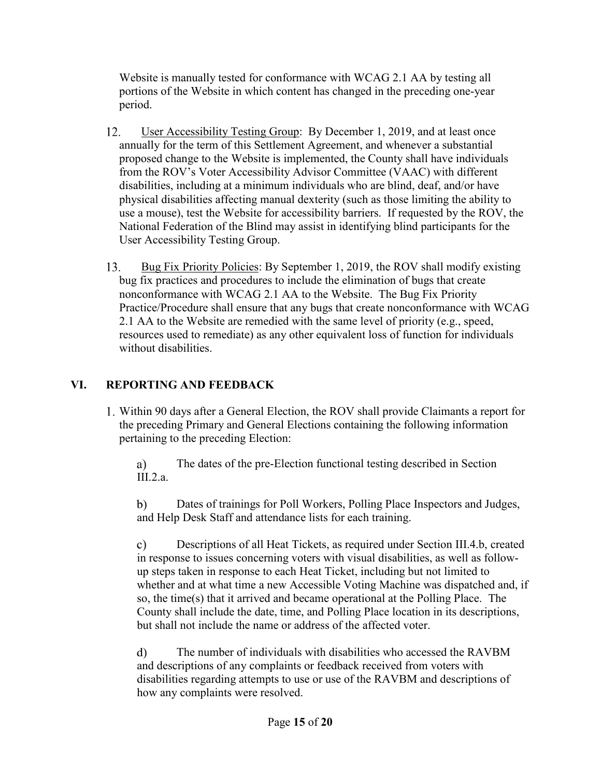Website is manually tested for conformance with WCAG 2.1 AA by testing all portions of the Website in which content has changed in the preceding one-year period.

- 12. User Accessibility Testing Group: By December 1, 2019, and at least once annually for the term of this Settlement Agreement, and whenever a substantial proposed change to the Website is implemented, the County shall have individuals from the ROV's Voter Accessibility Advisor Committee (VAAC) with different disabilities, including at a minimum individuals who are blind, deaf, and/or have physical disabilities affecting manual dexterity (such as those limiting the ability to use a mouse), test the Website for accessibility barriers. If requested by the ROV, the National Federation of the Blind may assist in identifying blind participants for the User Accessibility Testing Group.
- 13. Bug Fix Priority Policies: By September 1, 2019, the ROV shall modify existing bug fix practices and procedures to include the elimination of bugs that create nonconformance with WCAG 2.1 AA to the Website. The Bug Fix Priority Practice/Procedure shall ensure that any bugs that create nonconformance with WCAG 2.1 AA to the Website are remedied with the same level of priority (e.g., speed, resources used to remediate) as any other equivalent loss of function for individuals without disabilities.

# **VI. REPORTING AND FEEDBACK**

1. Within 90 days after a General Election, the ROV shall provide Claimants a report for the preceding Primary and General Elections containing the following information pertaining to the preceding Election:

a) The dates of the pre-Election functional testing described in Section III.2.a.

b) Dates of trainings for Poll Workers, Polling Place Inspectors and Judges, and Help Desk Staff and attendance lists for each training.

c) Descriptions of all Heat Tickets, as required under Section III.4.b, created in response to issues concerning voters with visual disabilities, as well as followup steps taken in response to each Heat Ticket, including but not limited to whether and at what time a new Accessible Voting Machine was dispatched and, if so, the time(s) that it arrived and became operational at the Polling Place. The County shall include the date, time, and Polling Place location in its descriptions, but shall not include the name or address of the affected voter.

d) The number of individuals with disabilities who accessed the RAVBM and descriptions of any complaints or feedback received from voters with disabilities regarding attempts to use or use of the RAVBM and descriptions of how any complaints were resolved.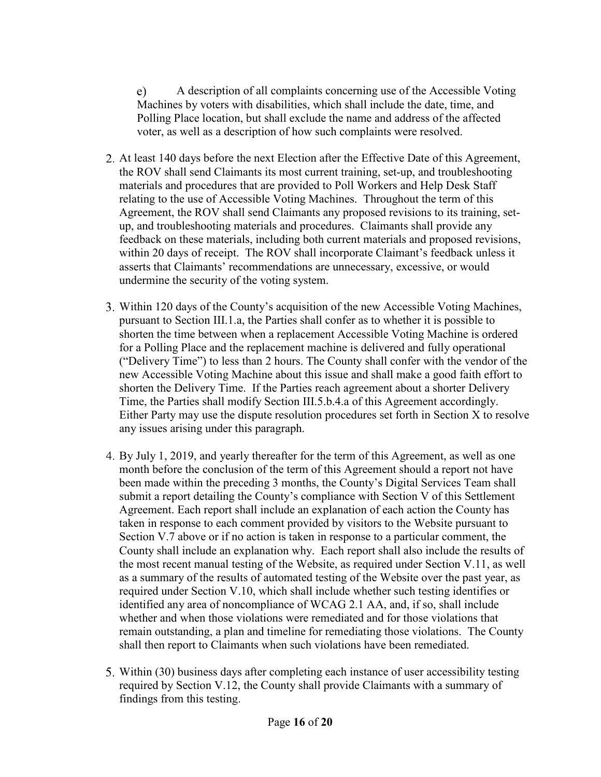e) A description of all complaints concerning use of the Accessible Voting Machines by voters with disabilities, which shall include the date, time, and Polling Place location, but shall exclude the name and address of the affected voter, as well as a description of how such complaints were resolved.

- 2. At least 140 days before the next Election after the Effective Date of this Agreement, the ROV shall send Claimants its most current training, set-up, and troubleshooting materials and procedures that are provided to Poll Workers and Help Desk Staff relating to the use of Accessible Voting Machines. Throughout the term of this Agreement, the ROV shall send Claimants any proposed revisions to its training, setup, and troubleshooting materials and procedures. Claimants shall provide any feedback on these materials, including both current materials and proposed revisions, within 20 days of receipt. The ROV shall incorporate Claimant's feedback unless it asserts that Claimants' recommendations are unnecessary, excessive, or would undermine the security of the voting system.
- 3. Within 120 days of the County's acquisition of the new Accessible Voting Machines, pursuant to Section III.1.a, the Parties shall confer as to whether it is possible to shorten the time between when a replacement Accessible Voting Machine is ordered for a Polling Place and the replacement machine is delivered and fully operational ("Delivery Time") to less than 2 hours. The County shall confer with the vendor of the new Accessible Voting Machine about this issue and shall make a good faith effort to shorten the Delivery Time. If the Parties reach agreement about a shorter Delivery Time, the Parties shall modify Section III.5.b.4.a of this Agreement accordingly. Either Party may use the dispute resolution procedures set forth in Section X to resolve any issues arising under this paragraph.
- 4. By July 1, 2019, and yearly thereafter for the term of this Agreement, as well as one month before the conclusion of the term of this Agreement should a report not have been made within the preceding 3 months, the County's Digital Services Team shall submit a report detailing the County's compliance with Section V of this Settlement Agreement. Each report shall include an explanation of each action the County has taken in response to each comment provided by visitors to the Website pursuant to Section V.7 above or if no action is taken in response to a particular comment, the County shall include an explanation why. Each report shall also include the results of the most recent manual testing of the Website, as required under Section V.11, as well as a summary of the results of automated testing of the Website over the past year, as required under Section V.10, which shall include whether such testing identifies or identified any area of noncompliance of WCAG 2.1 AA, and, if so, shall include whether and when those violations were remediated and for those violations that remain outstanding, a plan and timeline for remediating those violations. The County shall then report to Claimants when such violations have been remediated.
- 5. Within (30) business days after completing each instance of user accessibility testing required by Section V.12, the County shall provide Claimants with a summary of findings from this testing.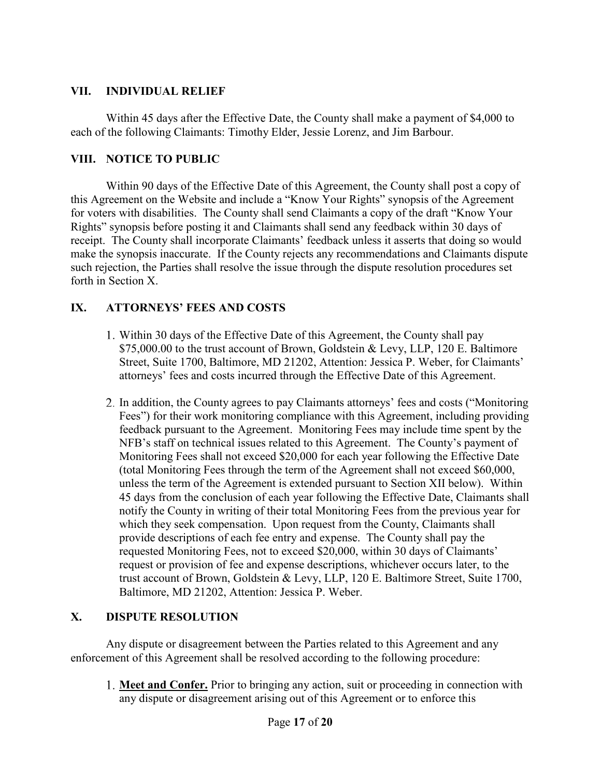## **VII. INDIVIDUAL RELIEF**

Within 45 days after the Effective Date, the County shall make a payment of \$4,000 to each of the following Claimants: Timothy Elder, Jessie Lorenz, and Jim Barbour.

### **VIII. NOTICE TO PUBLIC**

Within 90 days of the Effective Date of this Agreement, the County shall post a copy of this Agreement on the Website and include a "Know Your Rights" synopsis of the Agreement for voters with disabilities. The County shall send Claimants a copy of the draft "Know Your Rights" synopsis before posting it and Claimants shall send any feedback within 30 days of receipt. The County shall incorporate Claimants' feedback unless it asserts that doing so would make the synopsis inaccurate. If the County rejects any recommendations and Claimants dispute such rejection, the Parties shall resolve the issue through the dispute resolution procedures set forth in Section X.

## **IX. ATTORNEYS' FEES AND COSTS**

- 1. Within 30 days of the Effective Date of this Agreement, the County shall pay \$[75,000.00](https://75,000.00) to the trust account of Brown, Goldstein & Levy, LLP, 120 E. Baltimore Street, Suite 1700, Baltimore, MD 21202, Attention: Jessica P. Weber, for Claimants' attorneys' fees and costs incurred through the Effective Date of this Agreement.
- 2. In addition, the County agrees to pay Claimants attorneys' fees and costs ("Monitoring Fees") for their work monitoring compliance with this Agreement, including providing feedback pursuant to the Agreement. Monitoring Fees may include time spent by the NFB's staff on technical issues related to this Agreement. The County's payment of Monitoring Fees shall not exceed \$20,000 for each year following the Effective Date (total Monitoring Fees through the term of the Agreement shall not exceed \$60,000, unless the term of the Agreement is extended pursuant to Section XII below). Within 45 days from the conclusion of each year following the Effective Date, Claimants shall notify the County in writing of their total Monitoring Fees from the previous year for which they seek compensation. Upon request from the County, Claimants shall provide descriptions of each fee entry and expense. The County shall pay the requested Monitoring Fees, not to exceed \$20,000, within 30 days of Claimants' request or provision of fee and expense descriptions, whichever occurs later, to the trust account of Brown, Goldstein & Levy, LLP, 120 E. Baltimore Street, Suite 1700, Baltimore, MD 21202, Attention: Jessica P. Weber.

### **X. DISPUTE RESOLUTION**

Any dispute or disagreement between the Parties related to this Agreement and any enforcement of this Agreement shall be resolved according to the following procedure:

1. **Meet and Confer.**<br>any dispute or disa **Meet and Confer.** Prior to bringing any action, suit or proceeding in connection with any dispute or disagreement arising out of this Agreement or to enforce this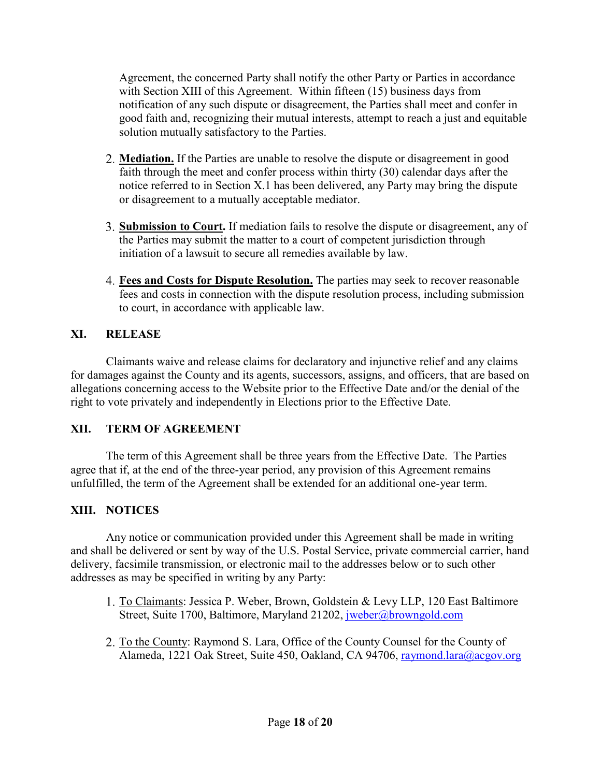Agreement, the concerned Party shall notify the other Party or Parties in accordance with Section XIII of this Agreement. Within fifteen (15) business days from notification of any such dispute or disagreement, the Parties shall meet and confer in good faith and, recognizing their mutual interests, attempt to reach a just and equitable solution mutually satisfactory to the Parties.

- 2. **Mediation.** If the Parties are unable to resolve the dispute or disagreement in good faith through the meet and confer process within thirty (30) calendar days after the notice referred to in Section X.1 has been delivered, any Party may bring the dispute or disagreement to a mutually acceptable mediator.
- 3. **Submission to Court**<br>the Parties may submi **ission to Court.** If mediation fails to resolve the dispute or disagreement, any of the Parties may submit the matter to a court of competent jurisdiction through initiation of a lawsuit to secure all remedies available by law.
- 4. **Fees and Costs for Dispute Resolution.** The parties may seek to recover reasonable fees and costs in connection with the dispute resolution process, including submission to court, in accordance with applicable law.

# **XI. RELEASE**

Claimants waive and release claims for declaratory and injunctive relief and any claims for damages against the County and its agents, successors, assigns, and officers, that are based on allegations concerning access to the Website prior to the Effective Date and/or the denial of the right to vote privately and independently in Elections prior to the Effective Date.

## **XII. TERM OF AGREEMENT**

The term of this Agreement shall be three years from the Effective Date. The Parties agree that if, at the end of the three-year period, any provision of this Agreement remains unfulfilled, the term of the Agreement shall be extended for an additional one-year term.

# **XIII. NOTICES**

Any notice or communication provided under this Agreement shall be made in writing and shall be delivered or sent by way of the U.S. Postal Service, private commercial carrier, hand delivery, facsimile transmission, or electronic mail to the addresses below or to such other addresses as may be specified in writing by any Party:

- es as may be spe<br>1. <u>To Claimants</u><br>Street. Suite 1 To Claimants: Jessica P. Weber, Brown, Goldstein & Levy LLP, 120 East Baltimore Street, Suite 1700, Baltimore, Maryland 21202, jweber@browngold.com
- Street, Suite 1<br>2. <u>To the County</u><br>Alameda. 122 To the County: Raymond S. Lara, Office of the County Counsel for the County of Alameda, 1221 Oak Street, Suite 450, Oakland, CA 94706, raymond.lara@acgov.org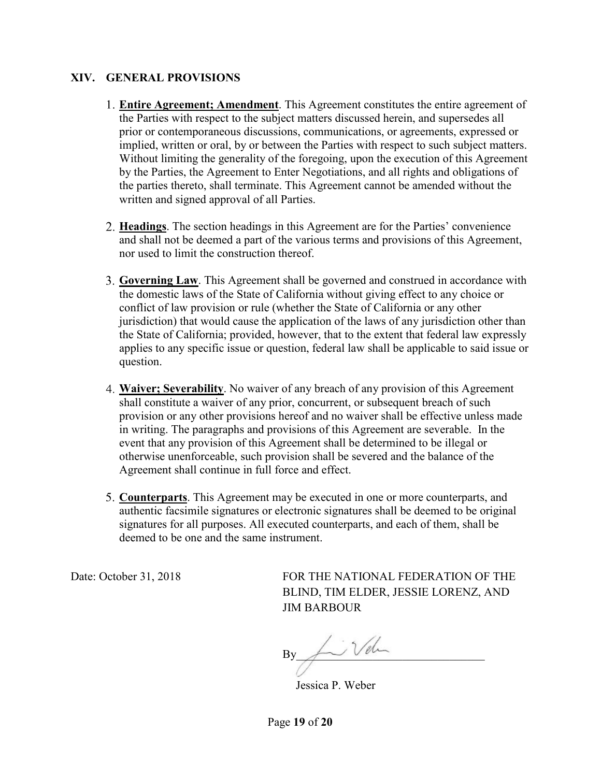#### **XIV. GENERAL PROVISIONS**

- 1. **Entire Agreement; Amendment**. This Agreement constitutes the entire agreement of the Parties with respect to the subject matters discussed herein, and supersedes all prior or contemporaneous discussions, communications, or agreements, expressed or implied, written or oral, by or between the Parties with respect to such subject matters. Without limiting the generality of the foregoing, upon the execution of this Agreement by the Parties, the Agreement to Enter Negotiations, and all rights and obligations of the parties thereto, shall terminate. This Agreement cannot be amended without the written and signed approval of all Parties.
- 2. **Headings**. The section headings in this Agreement are for the Parties' convenience and shall not be deemed a part of the various terms and provisions of this Agreement, nor used to limit the construction thereof.
- 3. **Governing Law**. This Agreement shall be governed and construed in accordance with the domestic laws of the State of California without giving effect to any choice or conflict of law provision or rule (whether the State of California or any other jurisdiction) that would cause the application of the laws of any jurisdiction other than the State of California; provided, however, that to the extent that federal law expressly applies to any specific issue or question, federal law shall be applicable to said issue or question.
- 4. **Waiver; Severability**. No waiver of any breach of any provision of this Agreement shall constitute a waiver of any prior, concurrent, or subsequent breach of such provision or any other provisions hereof and no waiver shall be effective unless made in writing. The paragraphs and provisions of this Agreement are severable. In the event that any provision of this Agreement shall be determined to be illegal or otherwise unenforceable, such provision shall be severed and the balance of the Agreement shall continue in full force and effect.
- 5. **Counterparts**. This Agreement may be executed in one or more counterparts, and authentic facsimile signatures or electronic signatures shall be deemed to be original signatures for all purposes. All executed counterparts, and each of them, shall be deemed to be one and the same instrument.

Date: October 31, 2018 FOR THE NATIONAL FEDERATION OF THE BLIND, TIM ELDER, JESSIE LORENZ, AND JIM BARBOUR

 $\nonumber \text{By} \begin{equation} \begin{picture}(150,10) \put(0,0){\line(0,1){10}} \put(15,0){\line(0,1){10}} \put(15,0){\line(0,1){10}} \put(15,0){\line(0,1){10}} \put(15,0){\line(0,1){10}} \put(15,0){\line(0,1){10}} \put(15,0){\line(0,1){10}} \put(15,0){\line(0,1){10}} \put(15,0){\line(0,1){10}} \put(15,0){\line(0,1){10}} \put(15,0){\line(0,1){$ 

Jessica P. Weber

Page **19** of **20**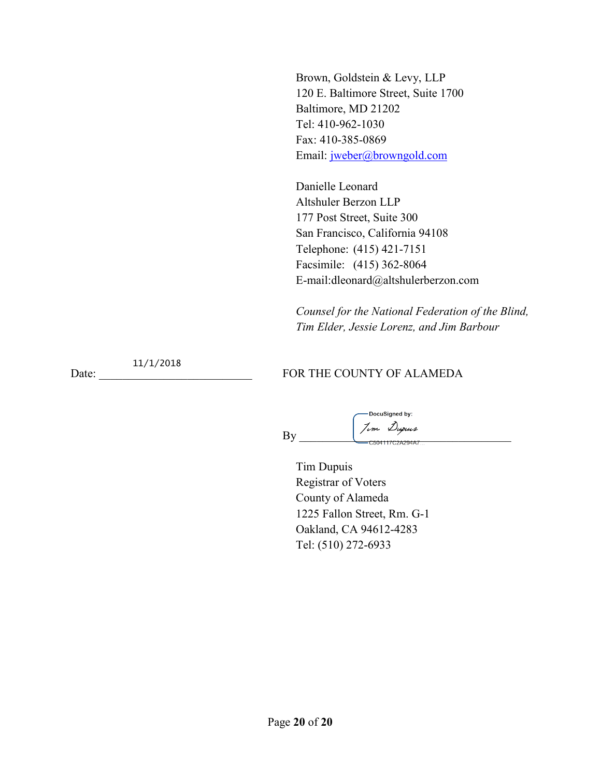Brown, Goldstein & Levy, LLP 120 E. Baltimore Street, Suite 1700 Baltimore, MD 21202 Tel: 410-962-1030 Fax: 410-385-0869 Email: jweber@browngold.com

Danielle Leonard Altshuler Berzon LLP 177 Post Street, Suite 300 San Francisco, California 94108 Telephone: (415) 421-7151 Facsimile: (415) 362-8064 [E-mail:dleonard@altshulerberzon.com](mailto:E-mail:dleonard@altshulerberzon.com)

*Counsel for the National Federation of the Blind, Tim Elder, Jessie Lorenz, and Jim Barbour* 

11/1/2018

Date: FOR THE COUNTY OF ALAMEDA

DocuSigned by: By \_\_\_\_\_\_\_\_\_\_\_\_\_\_\_\_\_\_\_\_\_\_\_\_\_\_\_\_\_\_\_\_\_\_\_\_

Tim Dupuis Registrar of Voters County of Alameda 1225 Fallon Street, Rm. G-1 Oakland, CA 94612-4283 Tel: (510) 272-6933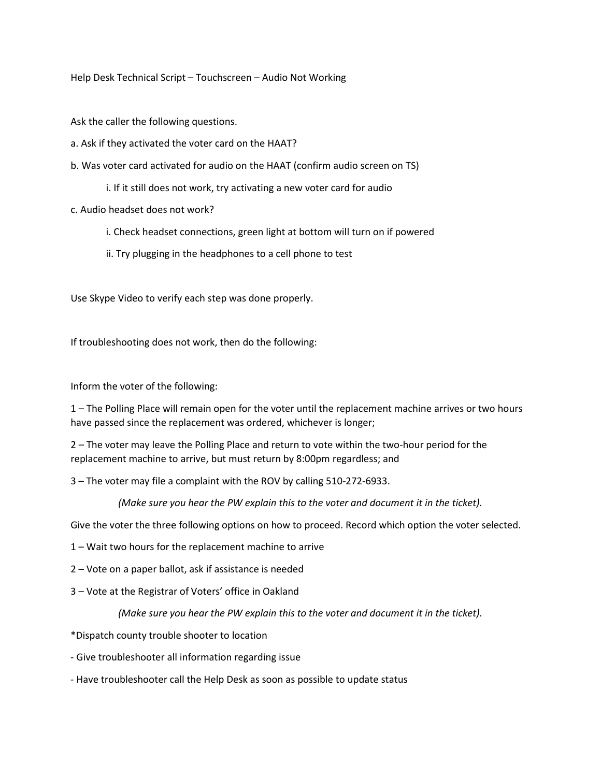Help Desk Technical Script – Touchscreen – Audio Not Working

Ask the caller the following questions.

- a. Ask if they activated the voter card on the HAAT?
- b. Was voter card activated for audio on the HAAT (confirm audio screen on TS)
	- i. If it still does not work, try activating a new voter card for audio
- c. Audio headset does not work?
	- i. Check headset connections, green light at bottom will turn on if powered
	- ii. Try plugging in the headphones to a cell phone to test

Use Skype Video to verify each step was done properly.

If troubleshooting does not work, then do the following:

Inform the voter of the following:

1 – The Polling Place will remain open for the voter until the replacement machine arrives or two hours have passed since the replacement was ordered, whichever is longer;

2 – The voter may leave the Polling Place and return to vote within the two-hour period for the replacement machine to arrive, but must return by 8:00pm regardless; and

3 – The voter may file a complaint with the ROV by calling 510-272-6933.

 *(Make sure you hear the PW explain this to the voter and document it in the ticket).* 

Give the voter the three following options on how to proceed. Record which option the voter selected.

1 – Wait two hours for the replacement machine to arrive

2 – Vote on a paper ballot, ask if assistance is needed

3 – Vote at the Registrar of Voters' office in Oakland

 *(Make sure you hear the PW explain this to the voter and document it in the ticket).* 

- \*Dispatch county trouble shooter to location
- Give troubleshooter all information regarding issue
- Have troubleshooter call the Help Desk as soon as possible to update status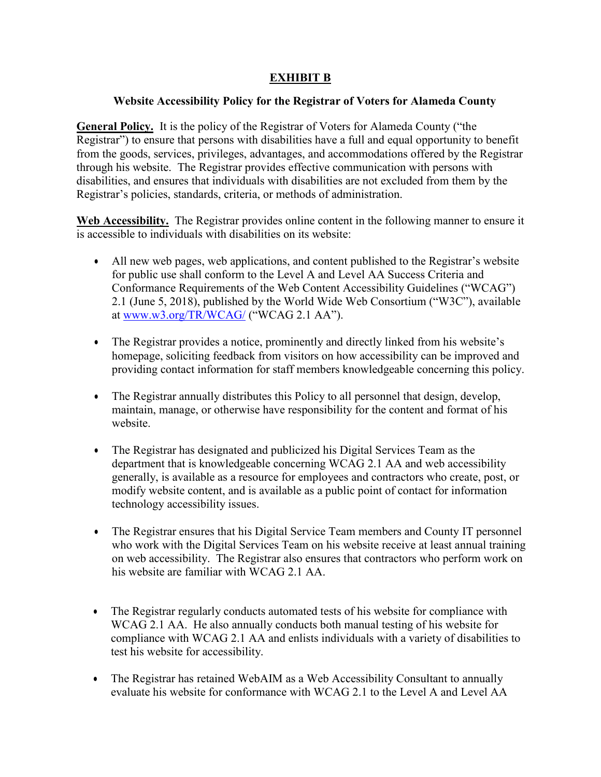### **EXHIBIT B**

### **Website Accessibility Policy for the Registrar of Voters for Alameda County**

 through his website. The Registrar provides effective communication with persons with Registrar's policies, standards, criteria, or methods of administration. **General Policy.** It is the policy of the Registrar of Voters for Alameda County ("the Registrar") to ensure that persons with disabilities have a full and equal opportunity to benefit from the goods, services, privileges, advantages, and accommodations offered by the Registrar disabilities, and ensures that individuals with disabilities are not excluded from them by the

 is accessible to individuals with disabilities on its website: **Web Accessibility.** The Registrar provides online content in the following manner to ensure it

- at <u>www.w3.org/TR/WCAG/</u> ("WCAG 2.1 AA"). • All new web pages, web applications, and content published to the Registrar's website for public use shall conform to the Level A and Level AA Success Criteria and Conformance Requirements of the Web Content Accessibility Guidelines ("WCAG") 2.1 (June 5, 2018), published by the World Wide Web Consortium ("W3C"), available
- • The Registrar provides a notice, prominently and directly linked from his website's homepage, soliciting feedback from visitors on how accessibility can be improved and providing contact information for staff members knowledgeable concerning this policy.
- maintain, manage, or otherwise have responsibility for the content and format of his • The Registrar annually distributes this Policy to all personnel that design, develop, website.
- The Registrar has designated and publicized his Digital Services Team as the department that is knowledgeable concerning WCAG 2.1 AA and web accessibility generally, is available as a resource for employees and contractors who create, post, or modify website content, and is available as a public point of contact for information technology accessibility issues.
- his website are familiar with WCAG 2.1 AA. • The Registrar ensures that his Digital Service Team members and County IT personnel who work with the Digital Services Team on his website receive at least annual training on web accessibility. The Registrar also ensures that contractors who perform work on
- test his website for accessibility. • The Registrar regularly conducts automated tests of his website for compliance with WCAG 2.1 AA. He also annually conducts both manual testing of his website for compliance with WCAG 2.1 AA and enlists individuals with a variety of disabilities to
- • The Registrar has retained WebAIM as a Web Accessibility Consultant to annually evaluate his website for conformance with WCAG 2.1 to the Level A and Level AA